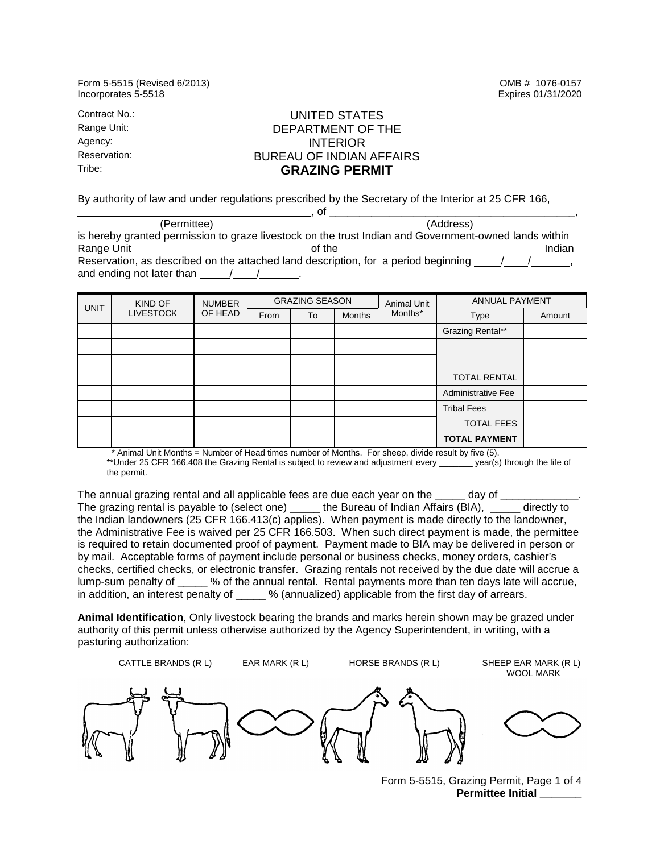Form 5-5515 (Revised 6/2013) Incorporates 5-5518

## Contract No.: UNITED STATES<br>
Range Unit: Capacity And The Contract OF The Range Unit: Range Unit: DEPARTMENT OF THE<br>Agency: Capaconum Basic Control of The Regency of the MTERIOR Agency: INTERIOR<br>Reservation: The BUREAU OF INDIAN Reservation: BUREAU OF INDIAN AFFAIRS<br>Tribe: CRAZING DEDMIT **GRAZING PERMIT**

By authority of law and under regulations prescribed by the Secretary of the Interior at 25 CFR 166,

\_\_\_\_\_\_\_\_\_\_\_\_\_\_\_\_\_\_\_\_\_\_\_\_\_\_\_\_\_\_\_\_\_\_\_\_\_\_\_, of \_\_\_\_\_\_\_\_\_\_\_\_\_\_\_\_\_\_\_\_\_\_\_\_\_\_\_\_\_\_\_\_\_\_\_\_\_\_\_\_\_, (Permittee) is hereby granted permission to graze livestock on the trust Indian and Government-owned lands within<br>Of the findian Range Unit Reservation, as described on the attached land description, for a period beginning and ending not later than  $\frac{1}{2}$ 

| <b>UNIT</b> | KIND OF<br><b>LIVESTOCK</b> | <b>NUMBER</b><br>OF HEAD | <b>GRAZING SEASON</b> |    |               | <b>Animal Unit</b> | ANNUAL PAYMENT       |        |
|-------------|-----------------------------|--------------------------|-----------------------|----|---------------|--------------------|----------------------|--------|
|             |                             |                          | From                  | To | <b>Months</b> | Months*            | <b>Type</b>          | Amount |
|             |                             |                          |                       |    |               |                    | Grazing Rental**     |        |
|             |                             |                          |                       |    |               |                    |                      |        |
|             |                             |                          |                       |    |               |                    |                      |        |
|             |                             |                          |                       |    |               |                    | <b>TOTAL RENTAL</b>  |        |
|             |                             |                          |                       |    |               |                    | Administrative Fee   |        |
|             |                             |                          |                       |    |               |                    | <b>Tribal Fees</b>   |        |
|             |                             |                          |                       |    |               |                    | <b>TOTAL FEES</b>    |        |
|             |                             |                          |                       |    |               |                    | <b>TOTAL PAYMENT</b> |        |

 \* Animal Unit Months = Number of Head times number of Months. For sheep, divide result by five (5). \*\*Under 25 CFR 166.408 the Grazing Rental is subject to review and adjustment every \_\_\_\_\_\_ year(s) through the life of the permit.

The annual grazing rental and all applicable fees are due each year on the \_\_\_\_\_\_\_ day of The grazing rental is payable to (select one) \_\_\_\_\_ the Bureau of Indian Affairs (BIA), \_\_\_\_\_ directly to the Indian landowners (25 CFR 166.413(c) applies). When payment is made directly to the landowner, the Administrative Fee is waived per 25 CFR 166.503. When such direct payment is made, the permittee is required to retain documented proof of payment. Payment made to BIA may be delivered in person or by mail. Acceptable forms of payment include personal or business checks, money orders, cashier's checks, certified checks, or electronic transfer. Grazing rentals not received by the due date will accrue a lump-sum penalty of \_\_\_\_\_ % of the annual rental. Rental payments more than ten days late will accrue, in addition, an interest penalty of \_\_\_\_ % (annualized) applicable from the first day of arrears.

**Animal Identification**, Only livestock bearing the brands and marks herein shown may be grazed under authority of this permit unless otherwise authorized by the Agency Superintendent, in writing, with a pasturing authorization:



Form 5-5515, Grazing Permit, Page 1 of 4 **Permittee Initial \_\_\_\_\_\_\_**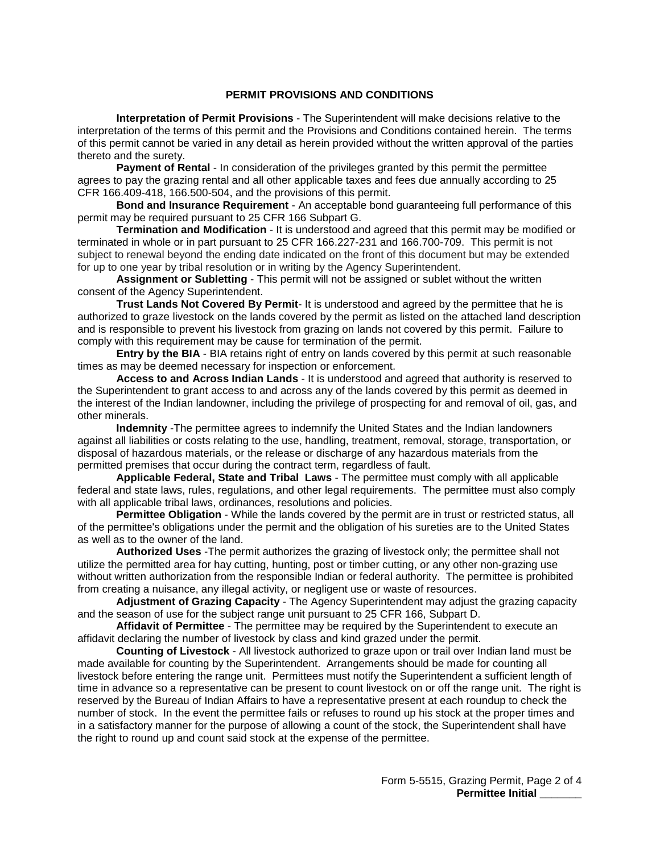## **PERMIT PROVISIONS AND CONDITIONS**

**Interpretation of Permit Provisions** - The Superintendent will make decisions relative to the interpretation of the terms of this permit and the Provisions and Conditions contained herein. The terms of this permit cannot be varied in any detail as herein provided without the written approval of the parties thereto and the surety.

**Payment of Rental** - In consideration of the privileges granted by this permit the permittee agrees to pay the grazing rental and all other applicable taxes and fees due annually according to 25 CFR 166.409-418, 166.500-504, and the provisions of this permit.

**Bond and Insurance Requirement** - An acceptable bond guaranteeing full performance of this permit may be required pursuant to 25 CFR 166 Subpart G.

**Termination and Modification** - It is understood and agreed that this permit may be modified or terminated in whole or in part pursuant to 25 CFR 166.227-231 and 166.700-709. This permit is not subject to renewal beyond the ending date indicated on the front of this document but may be extended for up to one year by tribal resolution or in writing by the Agency Superintendent.

**Assignment or Subletting** - This permit will not be assigned or sublet without the written consent of the Agency Superintendent.

**Trust Lands Not Covered By Permit**- It is understood and agreed by the permittee that he is authorized to graze livestock on the lands covered by the permit as listed on the attached land description and is responsible to prevent his livestock from grazing on lands not covered by this permit. Failure to comply with this requirement may be cause for termination of the permit.

**Entry by the BIA** - BIA retains right of entry on lands covered by this permit at such reasonable times as may be deemed necessary for inspection or enforcement.

**Access to and Across Indian Lands** - It is understood and agreed that authority is reserved to the Superintendent to grant access to and across any of the lands covered by this permit as deemed in the interest of the Indian landowner, including the privilege of prospecting for and removal of oil, gas, and other minerals.

**Indemnity** -The permittee agrees to indemnify the United States and the Indian landowners against all liabilities or costs relating to the use, handling, treatment, removal, storage, transportation, or disposal of hazardous materials, or the release or discharge of any hazardous materials from the permitted premises that occur during the contract term, regardless of fault.

**Applicable Federal, State and Tribal Laws** - The permittee must comply with all applicable federal and state laws, rules, regulations, and other legal requirements. The permittee must also comply with all applicable tribal laws, ordinances, resolutions and policies.

**Permittee Obligation** - While the lands covered by the permit are in trust or restricted status, all of the permittee's obligations under the permit and the obligation of his sureties are to the United States as well as to the owner of the land.

**Authorized Uses** -The permit authorizes the grazing of livestock only; the permittee shall not utilize the permitted area for hay cutting, hunting, post or timber cutting, or any other non-grazing use without written authorization from the responsible Indian or federal authority. The permittee is prohibited from creating a nuisance, any illegal activity, or negligent use or waste of resources.

**Adjustment of Grazing Capacity** - The Agency Superintendent may adjust the grazing capacity and the season of use for the subject range unit pursuant to 25 CFR 166, Subpart D.

**Affidavit of Permittee** - The permittee may be required by the Superintendent to execute an affidavit declaring the number of livestock by class and kind grazed under the permit.

**Counting of Livestock** - All livestock authorized to graze upon or trail over Indian land must be made available for counting by the Superintendent. Arrangements should be made for counting all livestock before entering the range unit. Permittees must notify the Superintendent a sufficient length of time in advance so a representative can be present to count livestock on or off the range unit. The right is reserved by the Bureau of Indian Affairs to have a representative present at each roundup to check the number of stock. In the event the permittee fails or refuses to round up his stock at the proper times and in a satisfactory manner for the purpose of allowing a count of the stock, the Superintendent shall have the right to round up and count said stock at the expense of the permittee.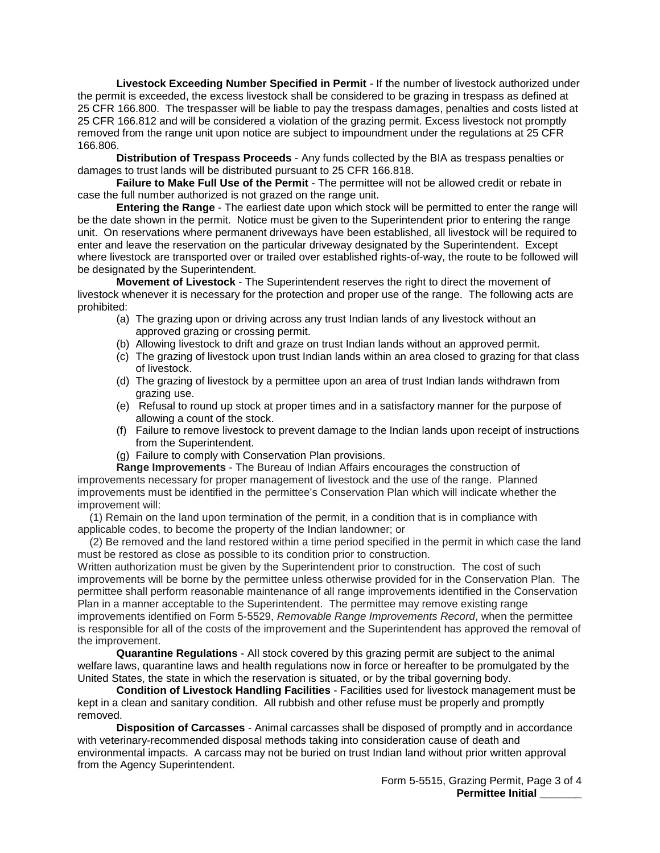**Livestock Exceeding Number Specified in Permit** - If the number of livestock authorized under the permit is exceeded, the excess livestock shall be considered to be grazing in trespass as defined at 25 CFR 166.800. The trespasser will be liable to pay the trespass damages, penalties and costs listed at 25 CFR 166.812 and will be considered a violation of the grazing permit. Excess livestock not promptly removed from the range unit upon notice are subject to impoundment under the regulations at 25 CFR 166.806.

**Distribution of Trespass Proceeds** - Any funds collected by the BIA as trespass penalties or damages to trust lands will be distributed pursuant to 25 CFR 166.818.

**Failure to Make Full Use of the Permit** - The permittee will not be allowed credit or rebate in case the full number authorized is not grazed on the range unit.

**Entering the Range** - The earliest date upon which stock will be permitted to enter the range will be the date shown in the permit. Notice must be given to the Superintendent prior to entering the range unit. On reservations where permanent driveways have been established, all livestock will be required to enter and leave the reservation on the particular driveway designated by the Superintendent. Except where livestock are transported over or trailed over established rights-of-way, the route to be followed will be designated by the Superintendent.

**Movement of Livestock** - The Superintendent reserves the right to direct the movement of livestock whenever it is necessary for the protection and proper use of the range. The following acts are prohibited:

- (a) The grazing upon or driving across any trust Indian lands of any livestock without an approved grazing or crossing permit.
- (b) Allowing livestock to drift and graze on trust Indian lands without an approved permit.
- (c) The grazing of livestock upon trust Indian lands within an area closed to grazing for that class of livestock.
- (d) The grazing of livestock by a permittee upon an area of trust Indian lands withdrawn from grazing use.
- (e) Refusal to round up stock at proper times and in a satisfactory manner for the purpose of allowing a count of the stock.
- (f) Failure to remove livestock to prevent damage to the Indian lands upon receipt of instructions from the Superintendent.
- (g) Failure to comply with Conservation Plan provisions.

**Range Improvements** - The Bureau of Indian Affairs encourages the construction of improvements necessary for proper management of livestock and the use of the range. Planned improvements must be identified in the permittee's Conservation Plan which will indicate whether the improvement will:

 (1) Remain on the land upon termination of the permit, in a condition that is in compliance with applicable codes, to become the property of the Indian landowner; or

 (2) Be removed and the land restored within a time period specified in the permit in which case the land must be restored as close as possible to its condition prior to construction.

Written authorization must be given by the Superintendent prior to construction. The cost of such improvements will be borne by the permittee unless otherwise provided for in the Conservation Plan. The permittee shall perform reasonable maintenance of all range improvements identified in the Conservation Plan in a manner acceptable to the Superintendent. The permittee may remove existing range improvements identified on Form 5-5529, *Removable Range Improvements Record*, when the permittee is responsible for all of the costs of the improvement and the Superintendent has approved the removal of the improvement.

**Quarantine Regulations** - All stock covered by this grazing permit are subject to the animal welfare laws, quarantine laws and health regulations now in force or hereafter to be promulgated by the United States, the state in which the reservation is situated, or by the tribal governing body.

**Condition of Livestock Handling Facilities** - Facilities used for livestock management must be kept in a clean and sanitary condition. All rubbish and other refuse must be properly and promptly removed.

**Disposition of Carcasses** - Animal carcasses shall be disposed of promptly and in accordance with veterinary-recommended disposal methods taking into consideration cause of death and environmental impacts. A carcass may not be buried on trust Indian land without prior written approval from the Agency Superintendent.